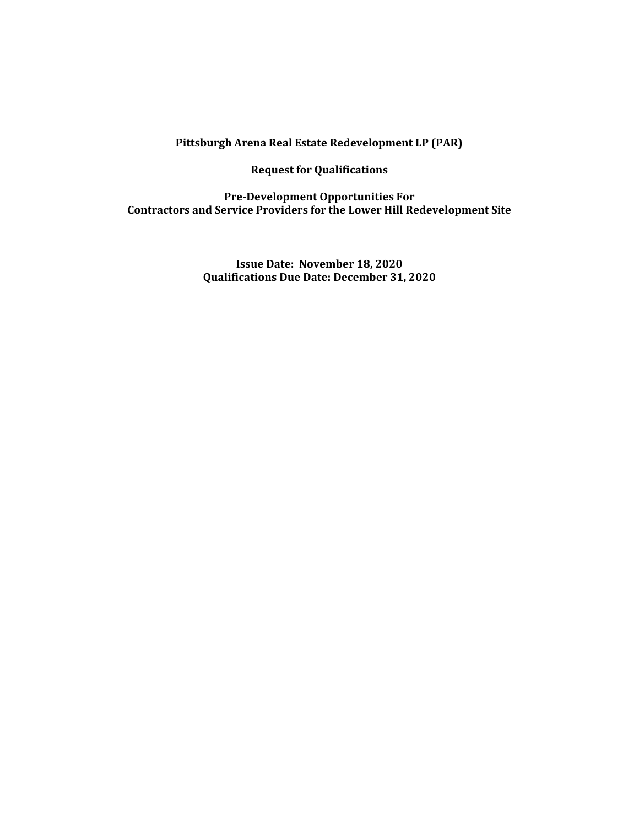### **Pittsburgh Arena Real Estate Redevelopment LP (PAR)**

**Request for Qualifications**

**Pre-Development Opportunities For Contractors and Service Providers for the Lower Hill Redevelopment Site**

> **Issue Date: November 18, 2020 Qualifications Due Date: December 31, 2020**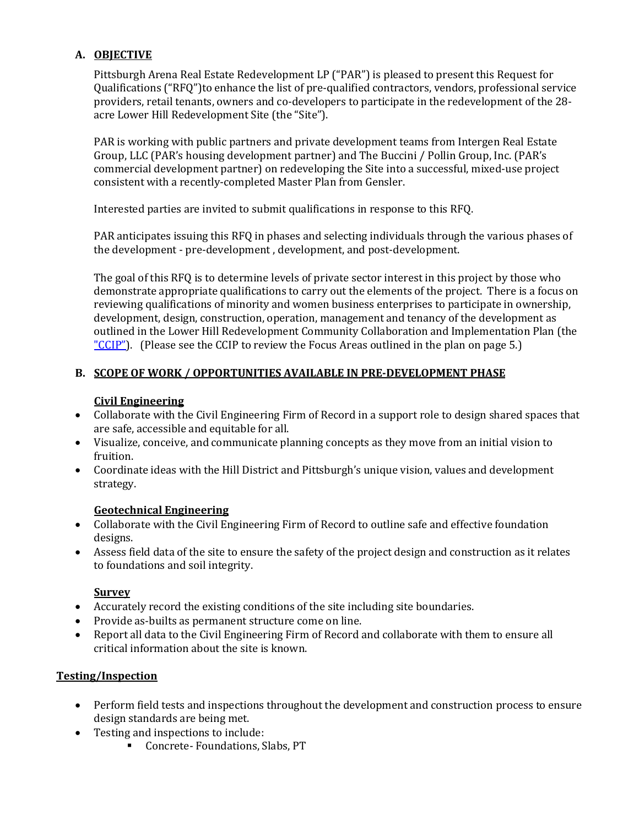# **A. OBJECTIVE**

Pittsburgh Arena Real Estate Redevelopment LP ("PAR") is pleased to present this Request for Qualifications ("RFQ")to enhance the list of pre-qualified contractors, vendors, professional service providers, retail tenants, owners and co-developers to participate in the redevelopment of the 28 acre Lower Hill Redevelopment Site (the "Site").

PAR is working with public partners and private development teams from Intergen Real Estate Group, LLC (PAR's housing development partner) and The Buccini / Pollin Group, Inc. (PAR's commercial development partner) on redeveloping the Site into a successful, mixed-use project consistent with a recently-completed Master Plan from Gensler.

Interested parties are invited to submit qualifications in response to this RFQ.

PAR anticipates issuing this RFQ in phases and selecting individuals through the various phases of the development - pre-development , development, and post-development.

The goal of this RFQ is to determine levels of private sector interest in this project by those who demonstrate appropriate qualifications to carry out the elements of the project. There is a focus on reviewing qualifications of minority and women business enterprises to participate in ownership, development, design, construction, operation, management and tenancy of the development as outlined in the Lower Hill Redevelopment Community Collaboration and Implementation Plan (the " $CClP$ "). (Please see the CCIP to review the Focus Areas outlined in the plan on page 5.)

# **B. SCOPE OF WORK / OPPORTUNITIES AVAILABLE IN PRE-DEVELOPMENT PHASE**

## **Civil Engineering**

- Collaborate with the Civil Engineering Firm of Record in a support role to design shared spaces that are safe, accessible and equitable for all.
- Visualize, conceive, and communicate planning concepts as they move from an initial vision to fruition.
- Coordinate ideas with the Hill District and Pittsburgh's unique vision, values and development strategy.

### **Geotechnical Engineering**

- Collaborate with the Civil Engineering Firm of Record to outline safe and effective foundation designs.
- Assess field data of the site to ensure the safety of the project design and construction as it relates to foundations and soil integrity.

### **Survey**

- Accurately record the existing conditions of the site including site boundaries.
- Provide as-builts as permanent structure come on line.
- Report all data to the Civil Engineering Firm of Record and collaborate with them to ensure all critical information about the site is known.

## **Testing/Inspection**

- Perform field tests and inspections throughout the development and construction process to ensure design standards are being met.
- Testing and inspections to include:
	- Concrete- Foundations, Slabs, PT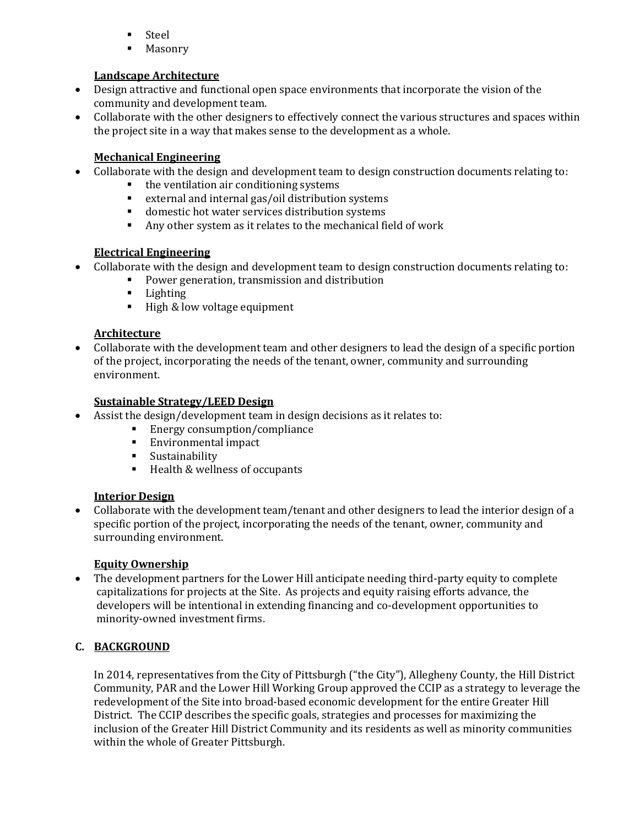- Steel
- Masonry

# **Landscape Architecture**

- Design attractive and functional open space environments that incorporate the vision of the community and development team.
- Collaborate with the other designers to effectively connect the various structures and spaces within the project site in a way that makes sense to the development as a whole.

# **Mechanical Engineering**

- Collaborate with the design and development team to design construction documents relating to:
	- the ventilation air conditioning systems
	- external and internal gas/oil distribution systems
	- domestic hot water services distribution systems
	- Any other system as it relates to the mechanical field of work

# **Electrical Engineering**

- Collaborate with the design and development team to design construction documents relating to:
	- Power generation, transmission and distribution
	- Lighting
	- High & low voltage equipment

## **Architecture**

• Collaborate with the development team and other designers to lead the design of a specific portion of the project, incorporating the needs of the tenant, owner, community and surrounding environment.

### **Sustainable Strategy/LEED Design**

- Assist the design/development team in design decisions as it relates to:
	- Energy consumption/compliance
	- Environmental impact
	- Sustainability
	- Health & wellness of occupants

## **Interior Design**

• Collaborate with the development team/tenant and other designers to lead the interior design of a specific portion of the project, incorporating the needs of the tenant, owner, community and surrounding environment.

### **Equity Ownership**

• The development partners for the Lower Hill anticipate needing third-party equity to complete capitalizations for projects at the Site. As projects and equity raising efforts advance, the developers will be intentional in extending financing and co-development opportunities to minority-owned investment firms.

## **C. BACKGROUND**

In 2014, representatives from the City of Pittsburgh ("the City"), Allegheny County, the Hill District Community, PAR and the Lower Hill Working Group approved the CCIP as a strategy to leverage the redevelopment of the Site into broad-based economic development for the entire Greater Hill District. The CCIP describes the specific goals, strategies and processes for maximizing the inclusion of the Greater Hill District Community and its residents as well as minority communities within the whole of Greater Pittsburgh.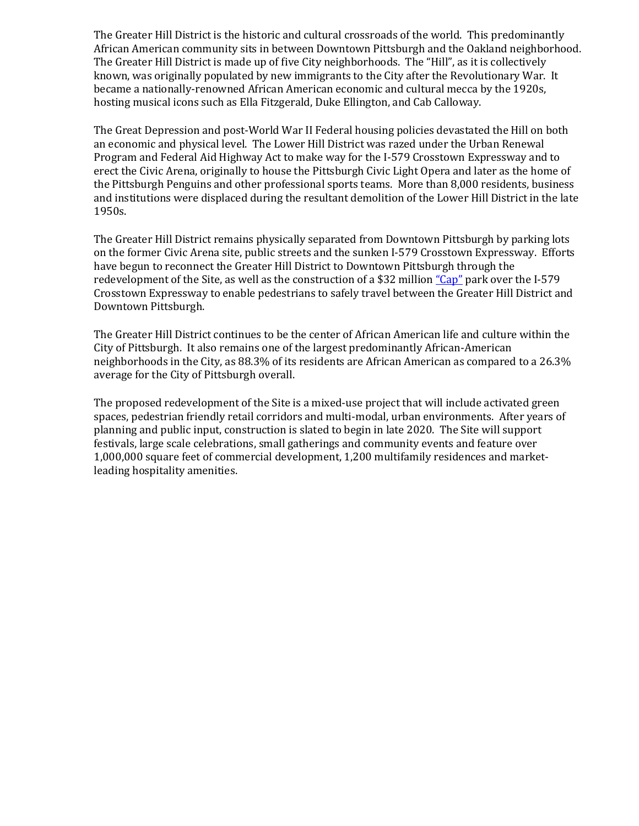The Greater Hill District is the historic and cultural crossroads of the world. This predominantly African American community sits in between Downtown Pittsburgh and the Oakland neighborhood. The Greater Hill District is made up of five City neighborhoods. The "Hill", as it is collectively known, was originally populated by new immigrants to the City after the Revolutionary War. It became a nationally-renowned African American economic and cultural mecca by the 1920s, hosting musical icons such as Ella Fitzgerald, Duke Ellington, and Cab Calloway.

The Great Depression and post-World War II Federal housing policies devastated the Hill on both an economic and physical level. The Lower Hill District was razed under the Urban Renewal Program and Federal Aid Highway Act to make way for the I-579 Crosstown Expressway and to erect the Civic Arena, originally to house the Pittsburgh Civic Light Opera and later as the home of the Pittsburgh Penguins and other professional sports teams. More than 8,000 residents, business and institutions were displaced during the resultant demolition of the Lower Hill District in the late 1950s.

The Greater Hill District remains physically separated from Downtown Pittsburgh by parking lots on the former Civic Arena site, public streets and the sunken I-579 Crosstown Expressway. Efforts have begun to reconnect the Greater Hill District to Downtown Pittsburgh through the redevelopment of the Site, as well as the construction of a \$32 million ["Cap"](http://pgh-sea.com/index.php?path=i5-ucp) park over the I-579 Crosstown Expressway to enable pedestrians to safely travel between the Greater Hill District and Downtown Pittsburgh.

The Greater Hill District continues to be the center of African American life and culture within the City of Pittsburgh. It also remains one of the largest predominantly African-American neighborhoods in the City, as 88.3% of its residents are African American as compared to a 26.3% average for the City of Pittsburgh overall.

The proposed redevelopment of the Site is a mixed-use project that will include activated green spaces, pedestrian friendly retail corridors and multi-modal, urban environments. After years of planning and public input, construction is slated to begin in late 2020. The Site will support festivals, large scale celebrations, small gatherings and community events and feature over 1,000,000 square feet of commercial development, 1,200 multifamily residences and marketleading hospitality amenities.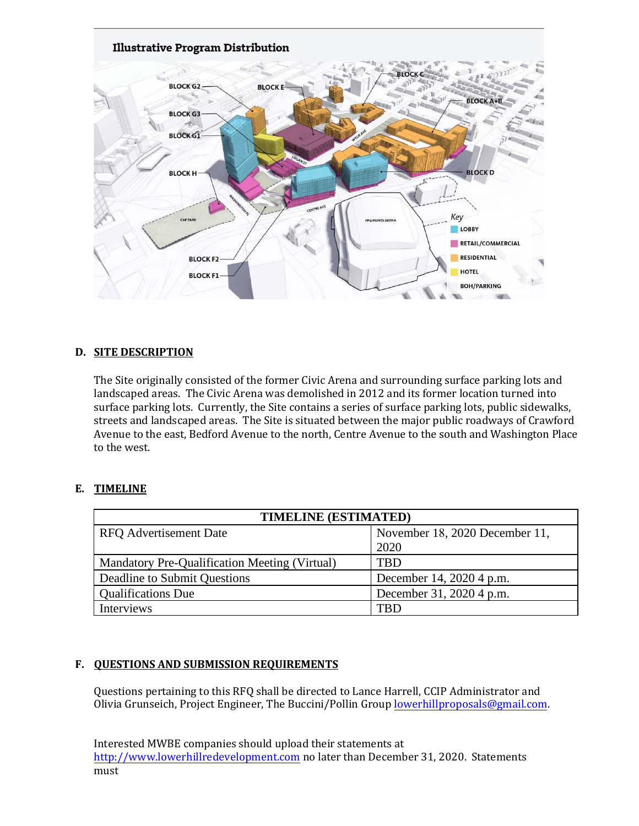

#### **D. SITE DESCRIPTION**

The Site originally consisted of the former Civic Arena and surrounding surface parking lots and landscaped areas. The Civic Arena was demolished in 2012 and its former location turned into surface parking lots. Currently, the Site contains a series of surface parking lots, public sidewalks, streets and landscaped areas. The Site is situated between the major public roadways of Crawford Avenue to the east, Bedford Avenue to the north, Centre Avenue to the south and Washington Place to the west.

#### **E. TIMELINE**

| TIMELINE (ESTIMATED)                          |                                |  |
|-----------------------------------------------|--------------------------------|--|
| <b>RFQ</b> Advertisement Date                 | November 18, 2020 December 11, |  |
|                                               | 2020                           |  |
| Mandatory Pre-Qualification Meeting (Virtual) | TBD                            |  |
| Deadline to Submit Questions                  | December 14, 2020 4 p.m.       |  |
| <b>Oualifications Due</b>                     | December 31, 2020 4 p.m.       |  |
| Interviews                                    | TBD                            |  |

#### **F. QUESTIONS AND SUBMISSION REQUIREMENTS**

Questions pertaining to this RFQ shall be directed to Lance Harrell, CCIP Administrator and Olivia Grunseich, Project Engineer, The Buccini/Pollin [Group lowerhillproposal](file:///C:/Users/Lance/AppData/Local/Microsoft/Windows/INetCache/Content.Outlook/KIX0533Q/lowerhillproposals.com)s@gmail.com.

Interested MWBE companies should upload their statements at [http://www.lowerhillredevelopment.com](http://www.lowerhillredevelopment.com/) no later than December 31, 2020. Statements must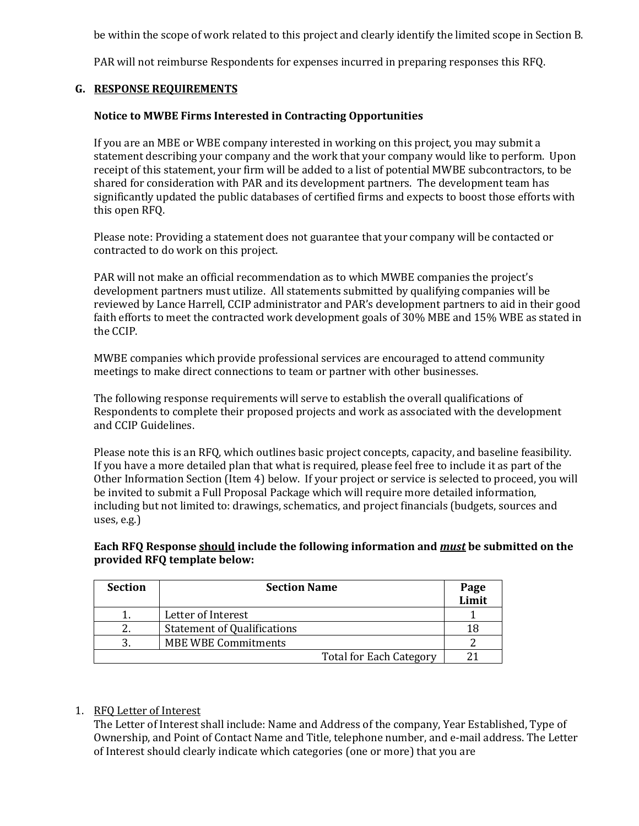be within the scope of work related to this project and clearly identify the limited scope in Section B.

PAR will not reimburse Respondents for expenses incurred in preparing responses this RFQ.

#### **G. RESPONSE REQUIREMENTS**

#### **Notice to MWBE Firms Interested in Contracting Opportunities**

If you are an MBE or WBE company interested in working on this project, you may submit a statement describing your company and the work that your company would like to perform. Upon receipt of this statement, your firm will be added to a list of potential MWBE subcontractors, to be shared for consideration with PAR and its development partners. The development team has significantly updated the public databases of certified firms and expects to boost those efforts with this open RFQ.

Please note: Providing a statement does not guarantee that your company will be contacted or contracted to do work on this project.

PAR will not make an official recommendation as to which MWBE companies the project's development partners must utilize. All statements submitted by qualifying companies will be reviewed by Lance Harrell, CCIP administrator and PAR's development partners to aid in their good faith efforts to meet the contracted work development goals of 30% MBE and 15% WBE as stated in the CCIP.

MWBE companies which provide professional services are encouraged to attend community meetings to make direct connections to team or partner with other businesses.

The following response requirements will serve to establish the overall qualifications of Respondents to complete their proposed projects and work as associated with the development and CCIP Guidelines.

Please note this is an RFQ, which outlines basic project concepts, capacity, and baseline feasibility. If you have a more detailed plan that what is required, please feel free to include it as part of the Other Information Section (Item 4) below. If your project or service is selected to proceed, you will be invited to submit a Full Proposal Package which will require more detailed information, including but not limited to: drawings, schematics, and project financials (budgets, sources and uses, e.g.)

**Each RFQ Response should include the following information and** *must* **be submitted on the provided RFQ template below:**

| <b>Section</b> | <b>Section Name</b>                | Page<br>Limit |
|----------------|------------------------------------|---------------|
|                | Letter of Interest                 |               |
|                | <b>Statement of Qualifications</b> |               |
|                | <b>MBE WBE Commitments</b>         |               |
|                | <b>Total for Each Category</b>     |               |

#### 1. RFQ Letter of Interest

The Letter of Interest shall include: Name and Address of the company, Year Established, Type of Ownership, and Point of Contact Name and Title, telephone number, and e-mail address. The Letter of Interest should clearly indicate which categories (one or more) that you are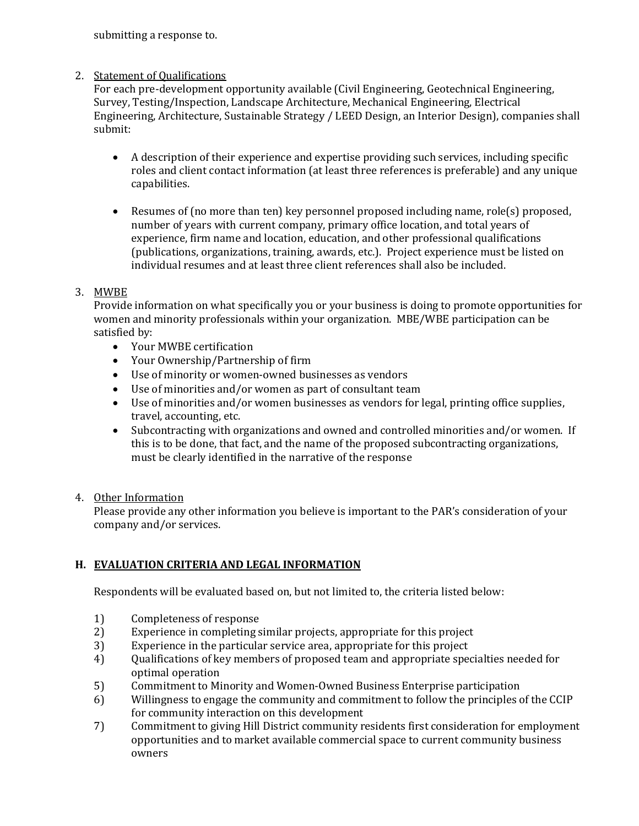submitting a response to.

### 2. Statement of Qualifications

For each pre-development opportunity available (Civil Engineering, Geotechnical Engineering, Survey, Testing/Inspection, Landscape Architecture, Mechanical Engineering, Electrical Engineering, Architecture, Sustainable Strategy / LEED Design, an Interior Design), companies shall submit:

- A description of their experience and expertise providing such services, including specific roles and client contact information (at least three references is preferable) and any unique capabilities.
- Resumes of (no more than ten) key personnel proposed including name, role(s) proposed, number of years with current company, primary office location, and total years of experience, firm name and location, education, and other professional qualifications (publications, organizations, training, awards, etc.). Project experience must be listed on individual resumes and at least three client references shall also be included.

### 3. MWBE

Provide information on what specifically you or your business is doing to promote opportunities for women and minority professionals within your organization. MBE/WBE participation can be satisfied by:

- Your MWBE certification
- Your Ownership/Partnership of firm
- Use of minority or women-owned businesses as vendors
- Use of minorities and/or women as part of consultant team
- Use of minorities and/or women businesses as vendors for legal, printing office supplies, travel, accounting, etc.
- Subcontracting with organizations and owned and controlled minorities and/or women. If this is to be done, that fact, and the name of the proposed subcontracting organizations, must be clearly identified in the narrative of the response

### 4. Other Information

Please provide any other information you believe is important to the PAR's consideration of your company and/or services.

## **H. EVALUATION CRITERIA AND LEGAL INFORMATION**

Respondents will be evaluated based on, but not limited to, the criteria listed below:

- 1) Completeness of response
- 2) Experience in completing similar projects, appropriate for this project
- 3) Experience in the particular service area, appropriate for this project
- 4) Qualifications of key members of proposed team and appropriate specialties needed for optimal operation
- 5) Commitment to Minority and Women-Owned Business Enterprise participation
- 6) Willingness to engage the community and commitment to follow the principles of the CCIP for community interaction on this development
- 7) Commitment to giving Hill District community residents first consideration for employment opportunities and to market available commercial space to current community business owners